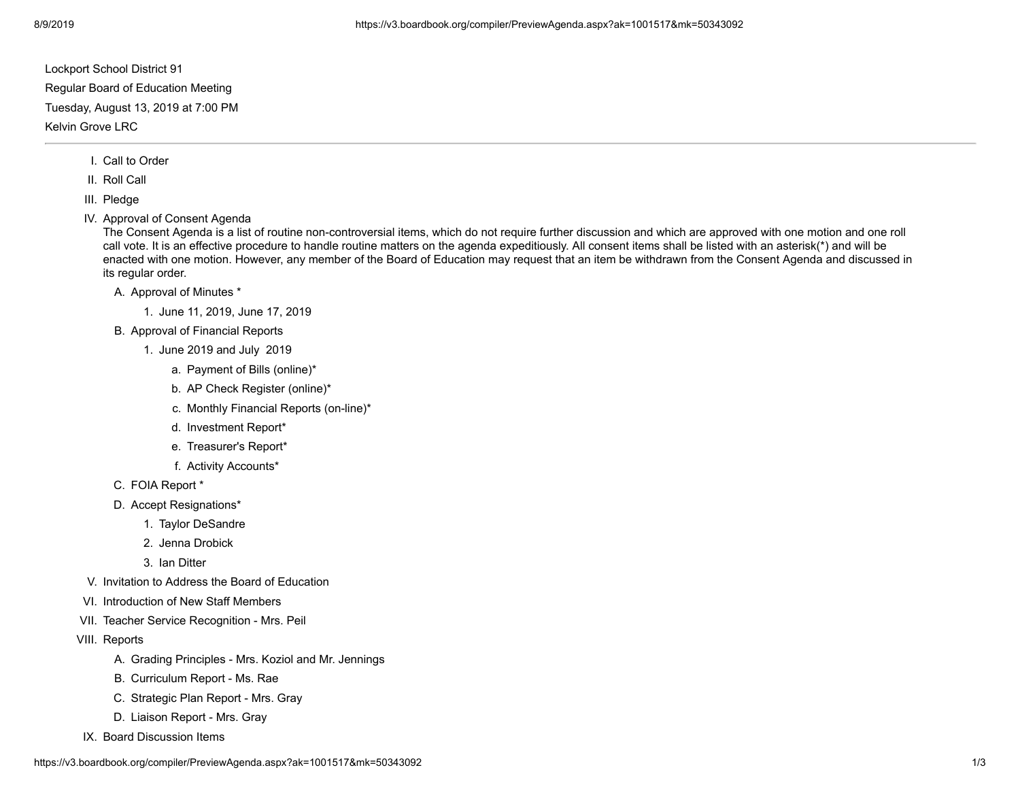Lockport School District 91

Regular Board of Education Meeting

Tuesday, August 13, 2019 at 7:00 PM

Kelvin Grove LRC

- I. Call to Order
- II. Roll Call
- III. Pledge
- IV. Approval of Consent Agenda

The Consent Agenda is a list of routine non-controversial items, which do not require further discussion and which are approved with one motion and one roll call vote. It is an effective procedure to handle routine matters on the agenda expeditiously. All consent items shall be listed with an asterisk(\*) and will be enacted with one motion. However, any member of the Board of Education may request that an item be withdrawn from the Consent Agenda and discussed in its regular order.

- A. Approval of Minutes \*
	- 1. June 11, 2019, June 17, 2019
- B. Approval of Financial Reports
	- 1. June 2019 and July 2019
		- a. Payment of Bills (online)\*
		- b. AP Check Register (online)\*
		- c. Monthly Financial Reports (on-line)\*
		- d. Investment Report\*
		- e. Treasurer's Report\*
		- f. Activity Accounts\*
- C. FOIA Report \*
- D. Accept Resignations\*
	- 1. Taylor DeSandre
	- 2. Jenna Drobick
	- 3. Ian Ditter
- V. Invitation to Address the Board of Education
- VI. Introduction of New Staff Members
- VII. Teacher Service Recognition Mrs. Peil
- VIII. Reports
	- A. Grading Principles Mrs. Koziol and Mr. Jennings
	- B. Curriculum Report Ms. Rae
	- C. Strategic Plan Report Mrs. Gray
	- D. Liaison Report Mrs. Gray
- IX. Board Discussion Items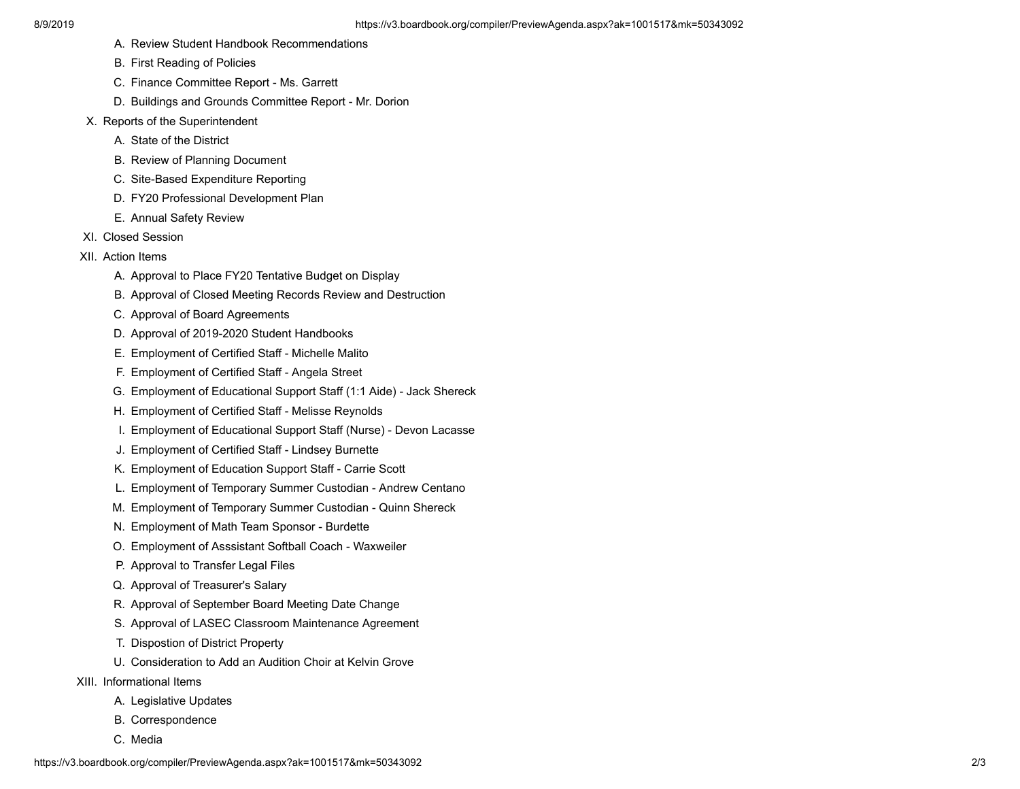- A. Review Student Handbook Recommendations
- B. First Reading of Policies
- C. Finance Committee Report Ms. Garrett
- D. Buildings and Grounds Committee Report Mr. Dorion
- X. Reports of the Superintendent
	- A. State of the District
	- B. Review of Planning Document
	- C. Site-Based Expenditure Reporting
	- D. FY20 Professional Development Plan
	- E. Annual Safety Review
- XI. Closed Session
- XII. Action Items
	- A. Approval to Place FY20 Tentative Budget on Display
	- B. Approval of Closed Meeting Records Review and Destruction
	- C. Approval of Board Agreements
	- D. Approval of 2019-2020 Student Handbooks
	- E. Employment of Certified Staff Michelle Malito
	- F. Employment of Certified Staff Angela Street
	- G. Employment of Educational Support Staff (1:1 Aide) Jack Shereck
	- H. Employment of Certified Staff Melisse Reynolds
	- I. Employment of Educational Support Staff (Nurse) Devon Lacasse
	- J. Employment of Certified Staff Lindsey Burnette
	- K. Employment of Education Support Staff Carrie Scott
	- L. Employment of Temporary Summer Custodian Andrew Centano
	- M. Employment of Temporary Summer Custodian Quinn Shereck
	- N. Employment of Math Team Sponsor Burdette
	- O. Employment of Asssistant Softball Coach Waxweiler
	- P. Approval to Transfer Legal Files
	- Q. Approval of Treasurer's Salary
	- R. Approval of September Board Meeting Date Change
	- S. Approval of LASEC Classroom Maintenance Agreement
	- T. Dispostion of District Property
	- U. Consideration to Add an Audition Choir at Kelvin Grove
- XIII. Informational Items
	- A. Legislative Updates
	- B. Correspondence
	- C. Media